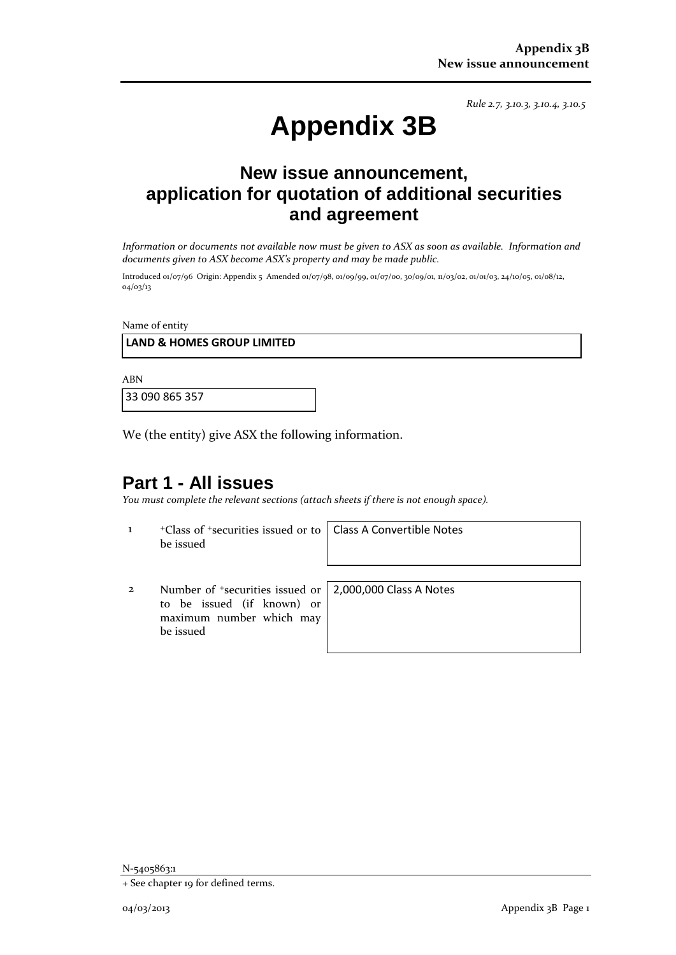*Rule 2.7, 3.10.3, 3.10.4, 3.10.5*

# **Appendix 3B**

# **New issue announcement, application for quotation of additional securities and agreement**

*Information or documents not available now must be given to ASX as soon as available. Information and documents given to ASX become ASX's property and may be made public.*

Introduced 01/07/96 Origin: Appendix 5 Amended 01/07/98, 01/09/99, 01/07/00, 30/09/01, 11/03/02, 01/01/03, 24/10/05, 01/08/12, 04/03/13

Name of entity

### **LAND & HOMES GROUP LIMITED**

ABN

33 090 865 357

We (the entity) give ASX the following information.

## **Part 1 - All issues**

*You must complete the relevant sections (attach sheets if there is not enough space).*

1 +Class of +securities issued or to be issued

Class A Convertible Notes

2 Number of +securities issued or to be issued (if known) or maximum number which may be issued

2,000,000 Class A Notes

<sup>+</sup> See chapter 19 for defined terms.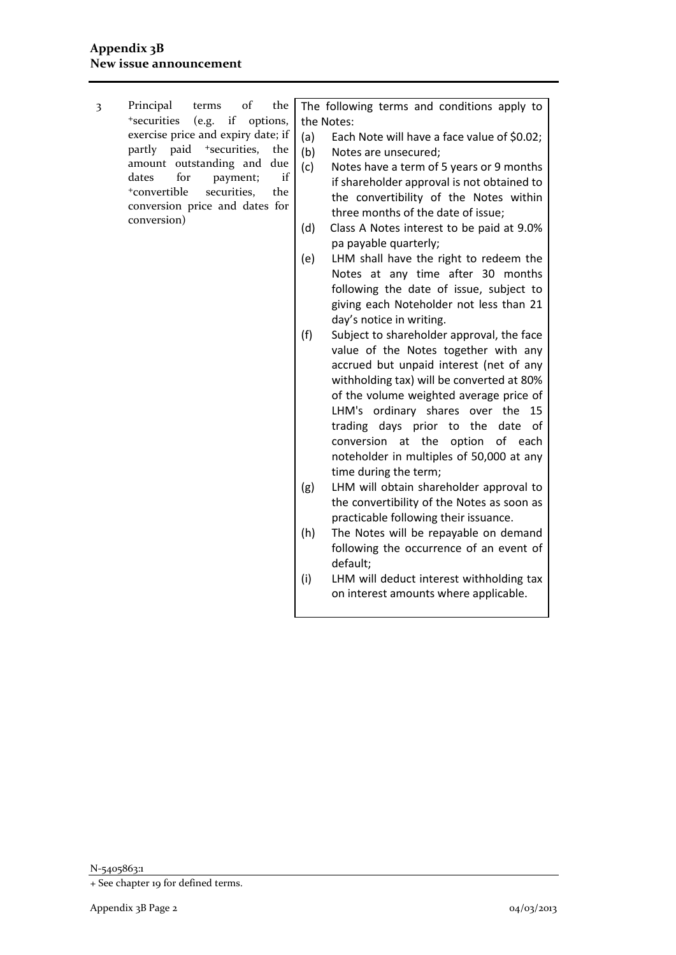3 Principal terms of the +securities (e.g. if options, exercise price and expiry date; if partly paid <sup>+</sup>securities, the amount outstanding and due dates for payment; if +convertible securities, the conversion price and dates for conversion)

The following terms and conditions apply to the Notes:

- (a) Each Note will have a face value of \$0.02; (b) Notes are unsecured;
- (c) Notes have a term of 5 years or 9 months if shareholder approval is not obtained to the convertibility of the Notes within three months of the date of issue;
- (d) Class A Notes interest to be paid at 9.0% pa payable quarterly;
- (e) LHM shall have the right to redeem the Notes at any time after 30 months following the date of issue, subject to giving each Noteholder not less than 21 day's notice in writing.
- (f) Subject to shareholder approval, the face value of the Notes together with any accrued but unpaid interest (net of any withholding tax) will be converted at 80% of the volume weighted average price of LHM's ordinary shares over the 15 trading days prior to the date of conversion at the option of each noteholder in multiples of 50,000 at any time during the term;
- (g) LHM will obtain shareholder approval to the convertibility of the Notes as soon as practicable following their issuance.
- (h) The Notes will be repayable on demand following the occurrence of an event of default;
- (i) LHM will deduct interest withholding tax on interest amounts where applicable.

N-5405863:1

<sup>+</sup> See chapter 19 for defined terms.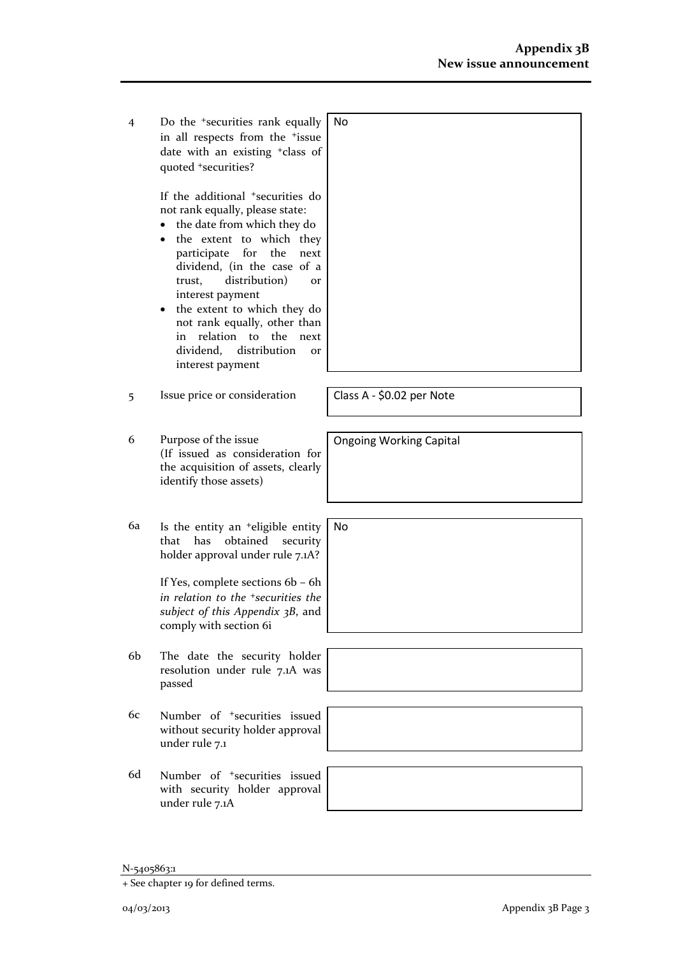4 Do the +securities rank equally in all respects from the +issue date with an existing +class of quoted +securities? No

> If the additional +securities do not rank equally, please state:

- the date from which they do
- the extent to which they participate for the next dividend, (in the case of a trust, distribution) or interest payment
- the extent to which they do not rank equally, other than in relation to the next dividend, distribution or interest payment
- 5 Issue price or consideration Class A \$0.02 per Note
- 6 Purpose of the issue (If issued as consideration for the acquisition of assets, clearly identify those assets)
- 6a Is the entity an +eligible entity that has obtained security holder approval under rule 7.1A?

If Yes, complete sections 6b – 6h *in relation to the +securities the subject of this Appendix 3B*, and comply with section 6i

- 6b The date the security holder resolution under rule 7.1A was passed
- 6c Number of +securities issued without security holder approval under rule 7.1
- 6d Number of +securities issued with security holder approval under rule 7.1A



Ongoing Working Capital

No

<sup>+</sup> See chapter 19 for defined terms.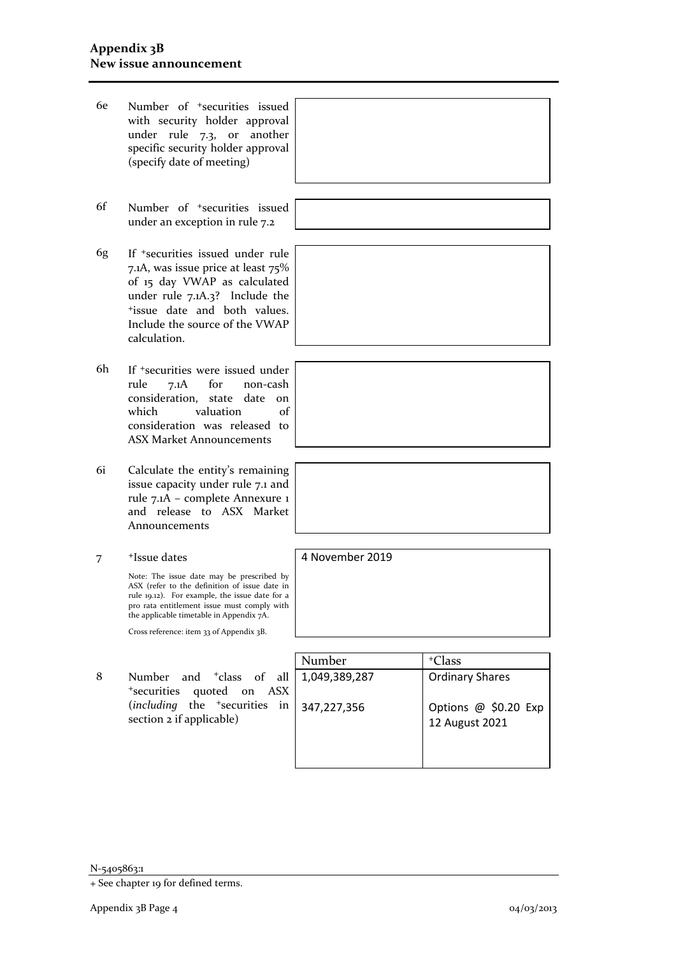- 6e Number of +securities issued with security holder approval under rule 7.3, or another specific security holder approval (specify date of meeting)
- 6f Number of +securities issued under an exception in rule 7.2
- 6g If +securities issued under rule 7.1A, was issue price at least 75% of 15 day VWAP as calculated under rule 7.1A.3? Include the +issue date and both values. Include the source of the VWAP calculation.
- 6h If +securities were issued under rule 7.1A for non-cash consideration, state date on which valuation of consideration was released to ASX Market Announcements
- 6i Calculate the entity's remaining issue capacity under rule 7.1 and rule 7.1A – complete Annexure 1 and release to ASX Market Announcements
- 7 +Issue dates

Note: The issue date may be prescribed by ASX (refer to the definition of issue date in rule 19.12). For example, the issue date for a pro rata entitlement issue must comply with the applicable timetable in Appendix 7A.

Cross reference: item 33 of Appendix 3B.

8 Number and <sup>+</sup>class of all <sup>+</sup>securities quoted on ASX (*including* the <sup>+</sup>securities in section 2 if applicable)



N-5405863:1



4 November 2019

<sup>+</sup> See chapter 19 for defined terms.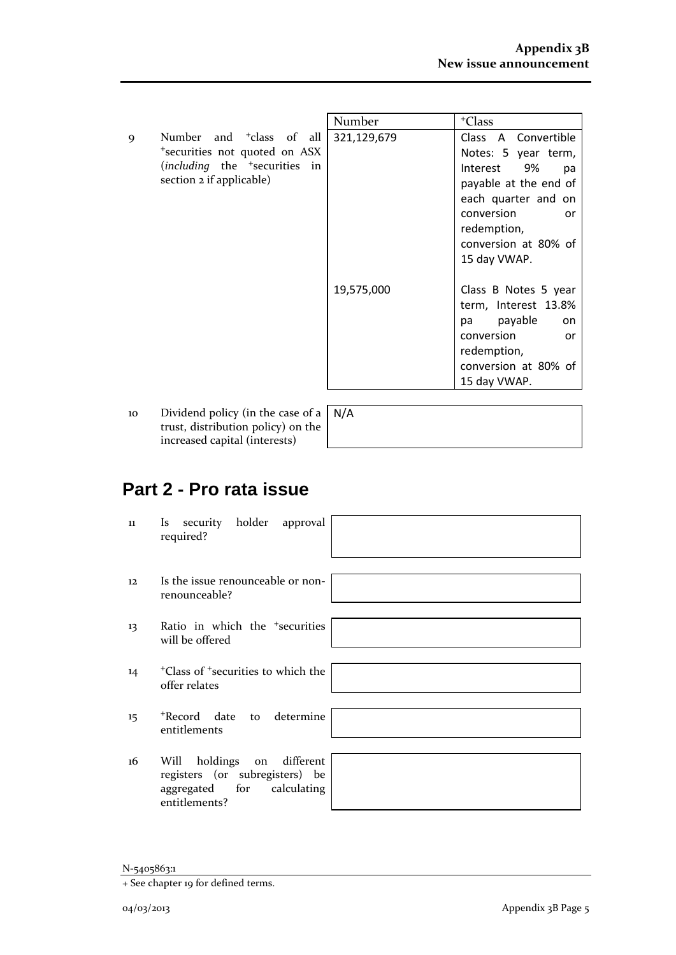|                                                                                                                                                             | Number      | <sup>+</sup> Class                                                                                                                                                                         |
|-------------------------------------------------------------------------------------------------------------------------------------------------------------|-------------|--------------------------------------------------------------------------------------------------------------------------------------------------------------------------------------------|
| Number and <sup>+</sup> class of all<br>9<br>*securities not quoted on ASX<br>( <i>including</i> the <sup>+</sup> securities in<br>section 2 if applicable) | 321,129,679 | Class A Convertible<br>Notes: 5 year term,<br>Interest 9%<br>pa<br>payable at the end of<br>each quarter and on<br>conversion<br>or<br>redemption,<br>conversion at 80% of<br>15 day VWAP. |
|                                                                                                                                                             | 19,575,000  | Class B Notes 5 year<br>term, Interest 13.8%<br>pa payable<br>on<br>conversion<br>or<br>redemption,<br>conversion at 80% of<br>15 day VWAP.                                                |

10 Dividend policy (in the case of a trust, distribution policy) on the increased capital (interests)

N/A

# **Part 2 - Pro rata issue**

| 11 | Is security holder approval<br>required?                                                                       |
|----|----------------------------------------------------------------------------------------------------------------|
| 12 | Is the issue renounceable or non-<br>renounceable?                                                             |
| 13 | Ratio in which the <sup>+</sup> securities<br>will be offered                                                  |
| 14 | <sup>+</sup> Class of <sup>+</sup> securities to which the<br>offer relates                                    |
| 15 | *Record date to determine<br>entitlements                                                                      |
| 16 | on different<br>Will holdings<br>registers (or subregisters) be<br>aggregated for calculating<br>entitlements? |

<sup>+</sup> See chapter 19 for defined terms.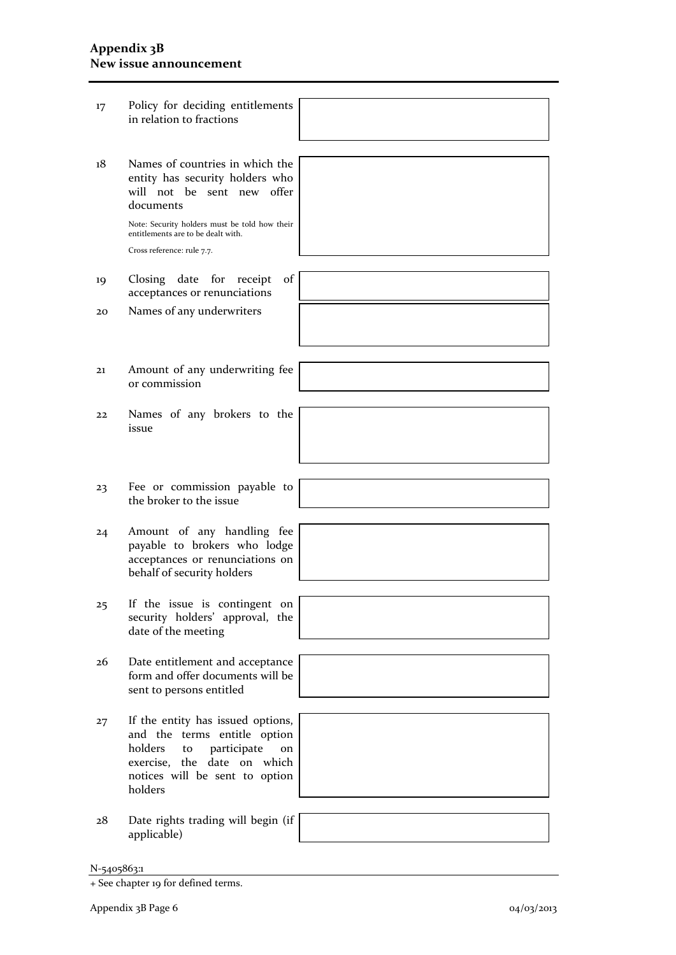#### **Appendix 3B New issue announcement**

17 Policy for deciding entitlements in relation to fractions

N-5405863:1 + See chapter 19 for defined terms. Appendix 3B Page 6 04/03/2013 18 Names of countries in which the entity has security holders who will not be sent new offer documents Note: Security holders must be told how their entitlements are to be dealt with. Cross reference: rule 7.7. 19 Closing date for receipt of acceptances or renunciations 20 Names of any underwriters 21 Amount of any underwriting fee or commission 22 Names of any brokers to the issue 23 Fee or commission payable to the broker to the issue 24 Amount of any handling fee payable to brokers who lodge acceptances or renunciations on behalf of security holders 25 If the issue is contingent on security holders' approval, the date of the meeting 26 Date entitlement and acceptance form and offer documents will be sent to persons entitled 27 If the entity has issued options, and the terms entitle option holders to participate on exercise, the date on which notices will be sent to option holders 28 Date rights trading will begin (if applicable)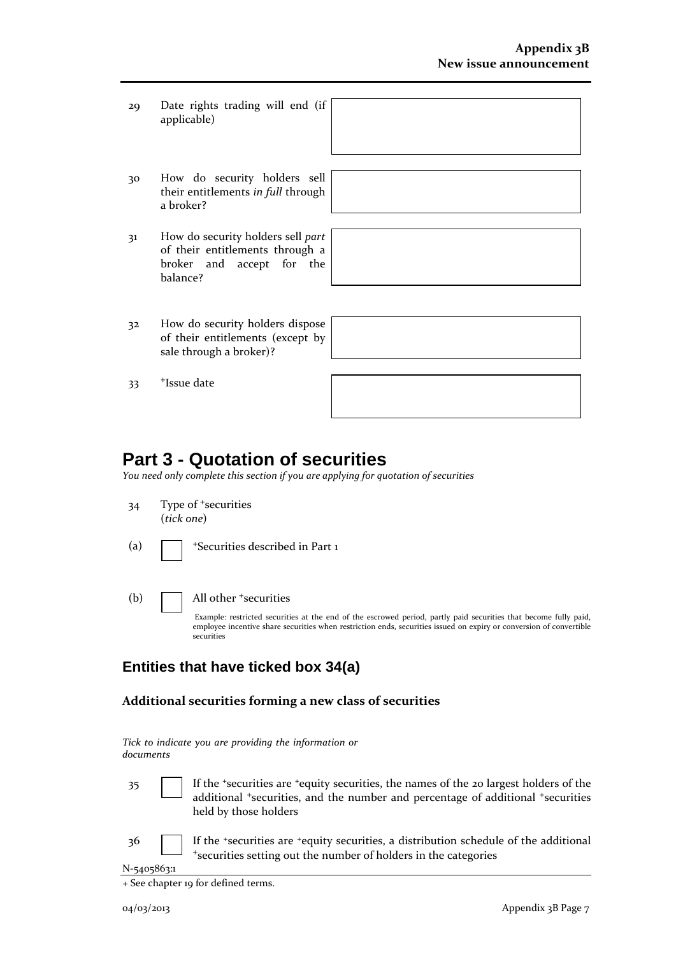- 29 Date rights trading will end (if applicable)
- 30 How do security holders sell their entitlements *in full* through a broker?
- 31 How do security holders sell *part* of their entitlements through a broker and accept for the balance?
- 32 How do security holders dispose of their entitlements (except by sale through a broker)?

## **Part 3 - Quotation of securities**

*You need only complete this section if you are applying for quotation of securities*

34 Type of <sup>+</sup>securities (*tick one*)

33 <sup>+</sup>Issue date

- (a)  $\sqrt{\frac{1}{1-\frac{1}{\sqrt{2}}}}$  +Securities described in Part 1
- (b) All other <sup>+</sup>securities

Example: restricted securities at the end of the escrowed period, partly paid securities that become fully paid, employee incentive share securities when restriction ends, securities issued on expiry or conversion of convertible securities

## **Entities that have ticked box 34(a)**

#### **Additional securities forming a new class of securities**

*Tick to indicate you are providing the information or documents*

35 If the <sup>+</sup>securities are <sup>+</sup>equity securities, the names of the 20 largest holders of the additional <sup>+</sup>securities, and the number and percentage of additional <sup>+</sup>securities held by those holders

36 If the <sup>+</sup>securities are <sup>+</sup>equity securities, a distribution schedule of the additional +securities setting out the number of holders in the categories

<sup>+</sup> See chapter 19 for defined terms.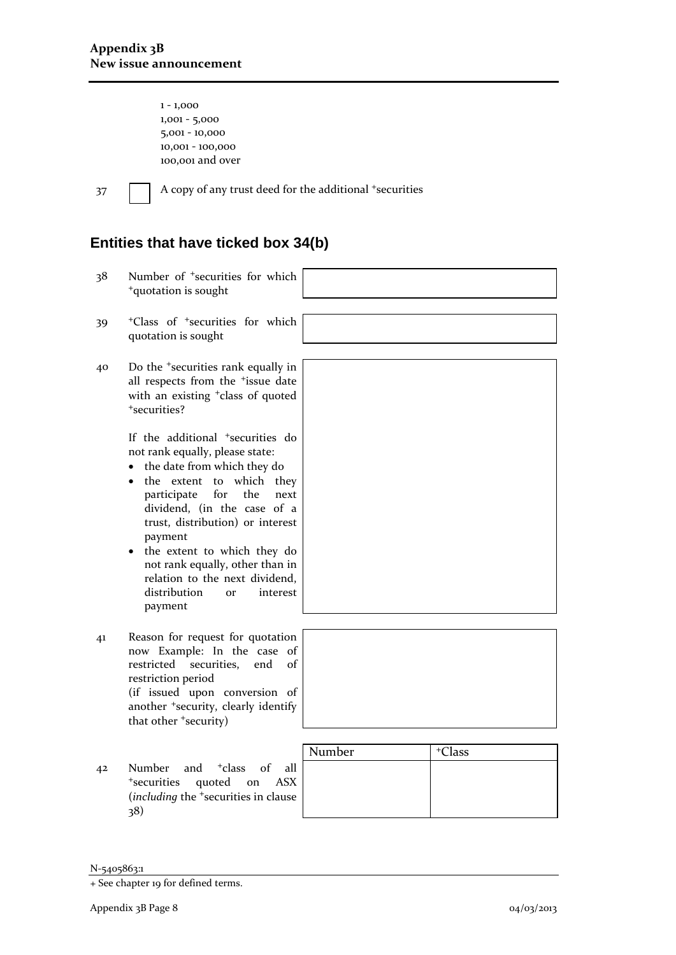1 - 1,000 1,001 - 5,000 5,001 - 10,000 10,001 - 100,000 100,001 and over

37 A copy of any trust deed for the additional +securities

## **Entities that have ticked box 34(b)**

- 38 Number of <sup>+</sup>securities for which <sup>+</sup>quotation is sought
- 39 <sup>+</sup>Class of <sup>+</sup>securities for which quotation is sought
- 40 Do the <sup>+</sup>securities rank equally in all respects from the <sup>+</sup>issue date with an existing <sup>+</sup>class of quoted <sup>+</sup>securities?

If the additional <sup>+</sup>securities do not rank equally, please state:

- the date from which they do
- the extent to which they participate for the next dividend, (in the case of a trust, distribution) or interest payment
- the extent to which they do not rank equally, other than in relation to the next dividend, distribution or interest payment
- 41 Reason for request for quotation now Example: In the case of restricted securities, end of restriction period (if issued upon conversion of another <sup>+</sup>security, clearly identify that other <sup>+</sup>security)
- 42 Number and <sup>+</sup>class of all <sup>+</sup>securities quoted on ASX (*including* the <sup>+</sup>securities in clause 38)

| Number | <sup>+</sup> Class |  |
|--------|--------------------|--|
|        |                    |  |
|        |                    |  |
|        |                    |  |

<sup>+</sup> See chapter 19 for defined terms.